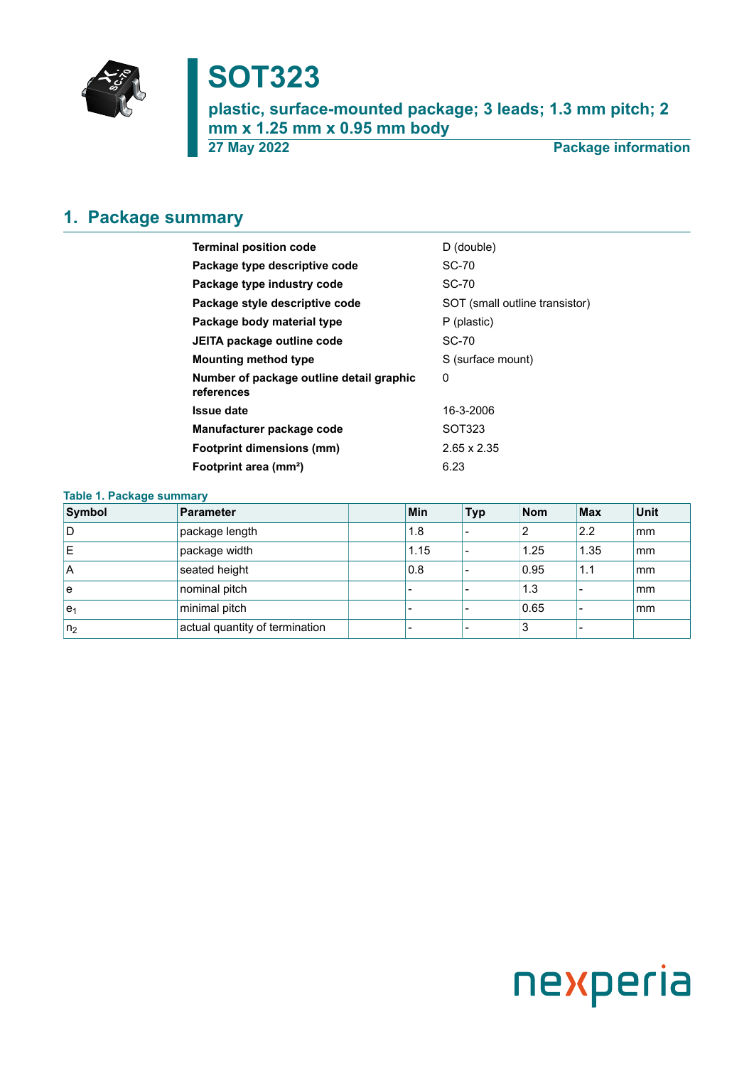

# **SOT323**

**plastic, surface-mounted package; 3 leads; 1.3 mm pitch; 2 mm x 1.25 mm x 0.95 mm body**

**27 May 2022 Package information**

### <span id="page-0-0"></span>**1. Package summary**

| <b>Terminal position code</b>                          | D (double)                     |
|--------------------------------------------------------|--------------------------------|
| Package type descriptive code                          | <b>SC-70</b>                   |
| Package type industry code                             | <b>SC-70</b>                   |
| Package style descriptive code                         | SOT (small outline transistor) |
| Package body material type                             | P (plastic)                    |
| JEITA package outline code                             | <b>SC-70</b>                   |
| <b>Mounting method type</b>                            | S (surface mount)              |
| Number of package outline detail graphic<br>references | 0                              |
| <b>Issue date</b>                                      | 16-3-2006                      |
| Manufacturer package code                              | SOT323                         |
| <b>Footprint dimensions (mm)</b>                       | $2.65 \times 2.35$             |
| Footprint area (mm <sup>2</sup> )                      | 6.23                           |

### **Table 1. Package summary**

| Symbol         | Parameter                      | Min  | <b>Typ</b> | <b>Nom</b> | <b>Max</b> | <b>Unit</b> |
|----------------|--------------------------------|------|------------|------------|------------|-------------|
| l D            | package length                 | 1.8  |            |            | 2.2        | mm          |
| ΙE             | package width                  | 1.15 |            | 1.25       | 1.35       | mm          |
| ΙA             | seated height                  | 0.8  |            | 0.95       | 1.1        | mm          |
| l e            | nominal pitch                  |      |            | 1.3        |            | mm          |
| $ e_1$         | minimal pitch                  |      |            | 0.65       |            | mm          |
| n <sub>2</sub> | actual quantity of termination |      |            | Ő.         |            |             |

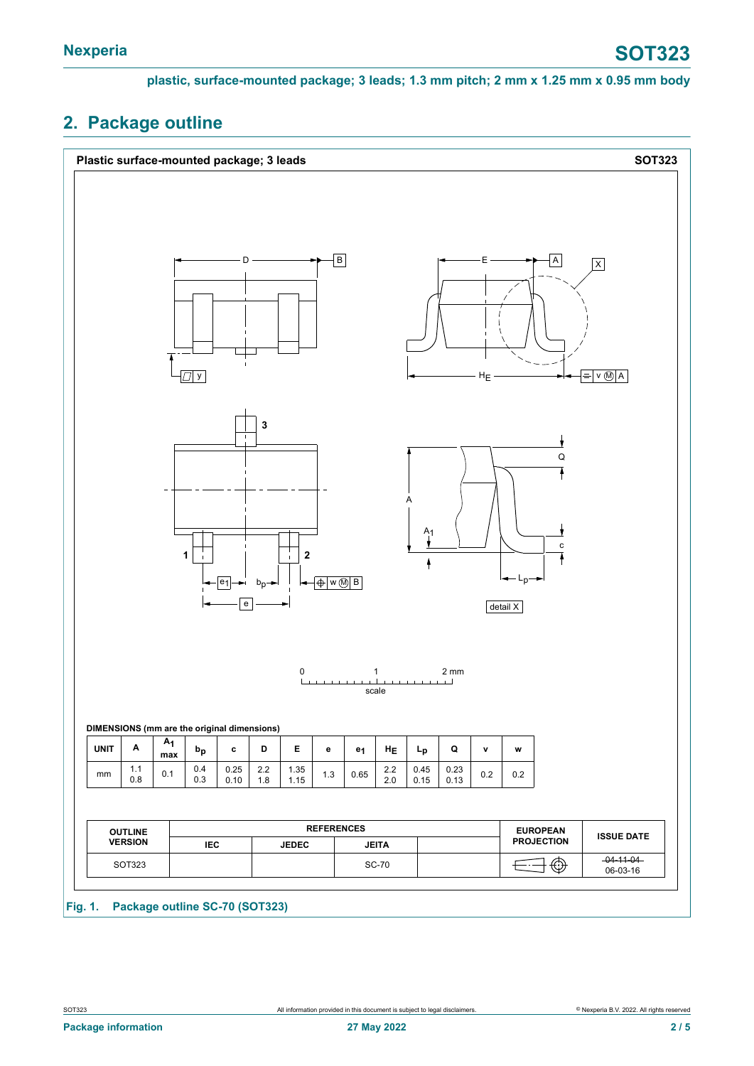**plastic, surface-mounted package; 3 leads; 1.3 mm pitch; 2 mm x 1.25 mm x 0.95 mm body**

### <span id="page-1-0"></span>**2. Package outline**

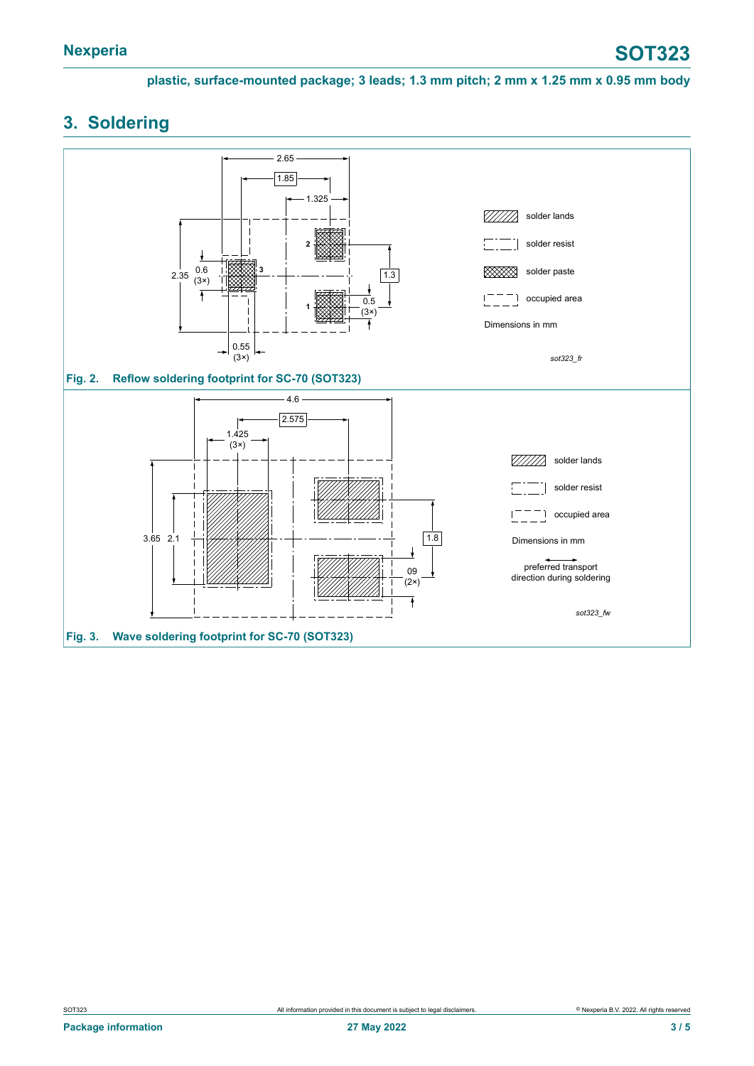**plastic, surface-mounted package; 3 leads; 1.3 mm pitch; 2 mm x 1.25 mm x 0.95 mm body**

## <span id="page-2-0"></span>**3. Soldering**

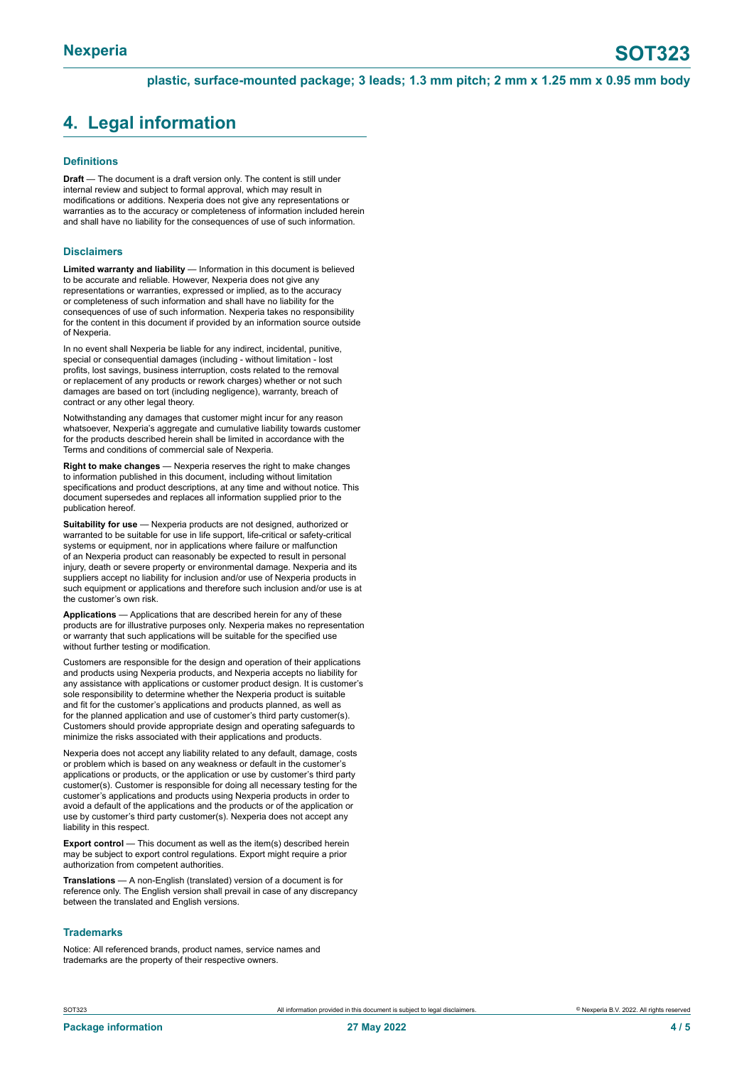### <span id="page-3-0"></span>**4. Legal information**

#### **Definitions**

**Draft** — The document is a draft version only. The content is still under internal review and subject to formal approval, which may result in modifications or additions. Nexperia does not give any representations or warranties as to the accuracy or completeness of information included herein and shall have no liability for the consequences of use of such information.

#### **Disclaimers**

**Limited warranty and liability** — Information in this document is believed to be accurate and reliable. However, Nexperia does not give any representations or warranties, expressed or implied, as to the accuracy or completeness of such information and shall have no liability for the consequences of use of such information. Nexperia takes no responsibility for the content in this document if provided by an information source outside of Nexperia.

In no event shall Nexperia be liable for any indirect, incidental, punitive, special or consequential damages (including - without limitation - lost profits, lost savings, business interruption, costs related to the removal or replacement of any products or rework charges) whether or not such damages are based on tort (including negligence), warranty, breach of contract or any other legal theory.

Notwithstanding any damages that customer might incur for any reason whatsoever, Nexperia's aggregate and cumulative liability towards customer for the products described herein shall be limited in accordance with the Terms and conditions of commercial sale of Nexperia.

**Right to make changes** — Nexperia reserves the right to make changes to information published in this document, including without limitation specifications and product descriptions, at any time and without notice. This document supersedes and replaces all information supplied prior to the publication hereof.

**Suitability for use** — Nexperia products are not designed, authorized or warranted to be suitable for use in life support, life-critical or safety-critical systems or equipment, nor in applications where failure or malfunction of an Nexperia product can reasonably be expected to result in personal injury, death or severe property or environmental damage. Nexperia and its suppliers accept no liability for inclusion and/or use of Nexperia products in such equipment or applications and therefore such inclusion and/or use is at the customer's own risk.

**Applications** — Applications that are described herein for any of these products are for illustrative purposes only. Nexperia makes no representation or warranty that such applications will be suitable for the specified use without further testing or modification.

Customers are responsible for the design and operation of their applications and products using Nexperia products, and Nexperia accepts no liability for any assistance with applications or customer product design. It is customer's sole responsibility to determine whether the Nexperia product is suitable and fit for the customer's applications and products planned, as well as for the planned application and use of customer's third party customer(s). Customers should provide appropriate design and operating safeguards to minimize the risks associated with their applications and products.

Nexperia does not accept any liability related to any default, damage, costs or problem which is based on any weakness or default in the customer's applications or products, or the application or use by customer's third party customer(s). Customer is responsible for doing all necessary testing for the customer's applications and products using Nexperia products in order to avoid a default of the applications and the products or of the application or use by customer's third party customer(s). Nexperia does not accept any liability in this respect.

**Export control** — This document as well as the item(s) described herein may be subject to export control regulations. Export might require a prior authorization from competent authorities.

**Translations** — A non-English (translated) version of a document is for reference only. The English version shall prevail in case of any discrepancy between the translated and English versions.

#### **Trademarks**

Notice: All referenced brands, product names, service names and trademarks are the property of their respective owners.